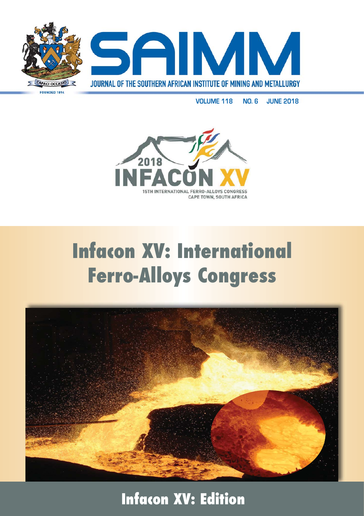

**VOLUME 118 NO. 6 JUNE 2018**



## **Infacon XV: International Ferro-Alloys Congress**



**Infacon XV: Edition**